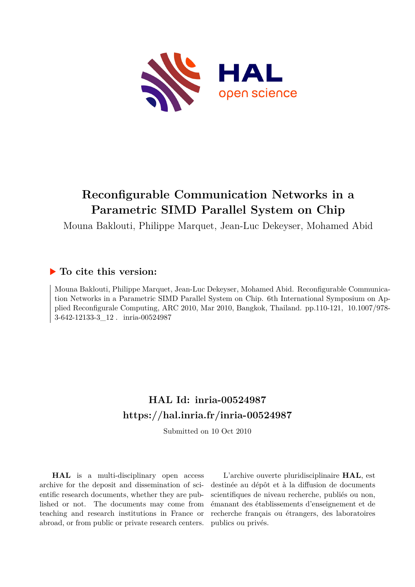

# **Reconfigurable Communication Networks in a Parametric SIMD Parallel System on Chip**

Mouna Baklouti, Philippe Marquet, Jean-Luc Dekeyser, Mohamed Abid

## **To cite this version:**

Mouna Baklouti, Philippe Marquet, Jean-Luc Dekeyser, Mohamed Abid. Reconfigurable Communication Networks in a Parametric SIMD Parallel System on Chip. 6th International Symposium on Applied Reconfigurale Computing, ARC 2010, Mar 2010, Bangkok, Thailand. pp.110-121, 10.1007/978-3-642-12133-3 12 . inria-00524987

# **HAL Id: inria-00524987 <https://hal.inria.fr/inria-00524987>**

Submitted on 10 Oct 2010

**HAL** is a multi-disciplinary open access archive for the deposit and dissemination of scientific research documents, whether they are published or not. The documents may come from teaching and research institutions in France or abroad, or from public or private research centers.

L'archive ouverte pluridisciplinaire **HAL**, est destinée au dépôt et à la diffusion de documents scientifiques de niveau recherche, publiés ou non, émanant des établissements d'enseignement et de recherche français ou étrangers, des laboratoires publics ou privés.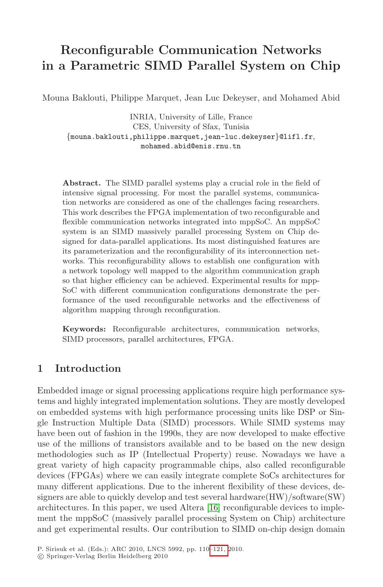## **Reconfigurable Communication Networks in a Parametric SIMD Parallel System on Chip**

Mouna Baklouti, Philippe Marquet, Jean Luc Dekeyser, and Mohamed Abid

INRIA, University of Lille, France CES, University of Sfax, Tunisia *{*mouna.baklouti,philippe.marquet,jean-luc.dekeyser*}*@lifl.fr, mohamed.abid@enis.rnu.tn

**Abstract.** The SIMD parallel systems play a crucial role in the field of intensive signal processing. For most the parallel systems, communication networks are considered as one of the challenges facing researchers. This work describes the FPGA implementation of two reconfigurable and flexible communication networks integrated into mppSoC. An mppSoC system is an SIMD massively parallel processing System on Chip designed for data-parallel applications. Its most distinguished features are its parameterization and the reconfigurability of its interconnection networks. This reconfigurability allows to establish one configuration with a network topology well mapped to the algorithm communication graph so that higher efficiency can be achieved. Experimental results for mpp-SoC with different communication configurations demonstrate the performance of the used reconfigurable networks and the effectiveness of algorithm mapping through reconfiguration.

**Keywords:** Reconfigurable architectures, communication networks, SIMD processors, parallel architectures, FPGA.

#### **1 Introduction**

Embedded image or signal processing applications require high performance systems and highly integrated implementation solutions. They are mostly developed on embedded systems with high performance processing units like DSP or Single Instruction Multiple Data (SIMD) processors. While SIMD systems may have been out of fashion in the 1990s, they are now developed to make effective use of the millions of transistors available and to be based on the new design methodologies such as IP (Intellectual Property) reuse. Nowadays we have a great variety of high capacity programmable chips, also called reconfigurable devices (FPGAs) where we can easily integrate complete SoCs architectures for many different applications. Due to the inherent flexibility of these devices, designers are able to quickly develop and test several hardware(HW)/software(SW) architectures. In this paper, we used Altera [16] reconfigurable devices to implement the mppSoC (massively parallel processing System on Chip) architecture and get experimental results. Our contribution to SIMD on-chip design domain

P. Sirisuk et al. (Eds.): ARC 2010, LNCS 5992, pp. 110[–121,](#page-12-0) 2010.

<sup>-</sup>c Springer-Verlag Berlin Heidelberg 2010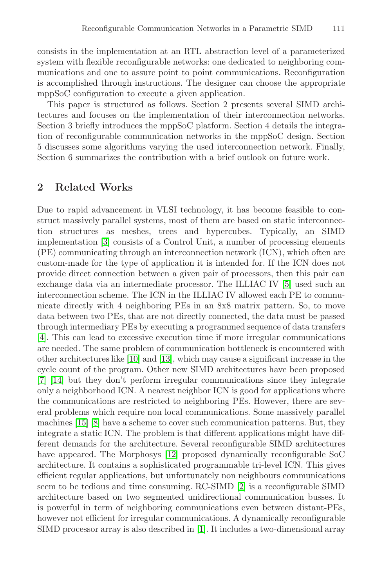consists in the implementation at an RTL abstraction level of a parameterized system with flexible reconfigurable networks: one dedicated to neighboring communications and one to assure point to point communications. Reconfiguration is accomplished through instructions. The designer can choose the appropriate mppSoC configuration to execute a given application.

This paper is structured as follows. Section 2 presents several SIMD architectures and focuses on the implementation of their interconnection networks. Section 3 briefly introduces the mppSoC platform. Section 4 details the integration of reconfigurable communication networks in the mppSoC design. Section 5 discusses some algorithms varying the used interconnection network. Finally, Section 6 summarizes the contribution with a brief outlook on future work.

#### **2 Related Works**

Due to rapid advancement in VLSI technology, it has become feasible to construct massively parallel systems, most of them are based on static interconnection structures as meshes, trees and hypercubes. Typically, an SIMD implementation [3] consists of a Control Unit, a number of processing elements (PE) communicating through an interconnection network (ICN), which often are custom-made for the type of application it is intended for. If the ICN does not provide direct connection between a given pair of processors, then this pair can exchange data via an intermediate processor. The ILLIAC IV [5] used such an interconnection scheme. The ICN in the ILLIAC IV allowed each PE to communicate directly with 4 neighboring PEs in an 8x8 matrix pattern. So, to move data between two PEs, that are not directly connected, the data must be passed through intermediary PEs by executing a programmed sequence of data transfers [4]. This can lead to excessive execution time if more irregular communications are needed. The same problem of communication bottleneck is encountered with other architectures like [10] and [13], which may cause a significant increase in the cycle count of the program. Other new SIMD architectures have been proposed [7] [14] but they don't perform irregular communications since they integrate only a neighborhood ICN. A nearest neighbor ICN is good for applications where the communications are restricted to neighboring PEs. However, there are several problems which require non local communications. Some massively parallel machines [15] [8] have a scheme to cover such communication patterns. But, they integrate a static ICN. The problem is that different applications might have different demands for the architecture. Several reconfigurable SIMD architectures have appeared. The Morphosys [12] proposed dynamically reconfigurable SoC architecture. It contains a sophisticated programmable tri-level ICN. This gives efficient regular applications, but unfortunately non neighbours communications seem to be tedious and time consuming. RC-SIMD [2] is a reconfigurable SIMD architecture based on two segmented unidirectional communication busses. It is powerful in term of neighboring communications even between distant-PEs, however not efficient for irregular communications. A dynamically reconfigurable SIMD processor array is also described in [1]. It includes a two-dimensional array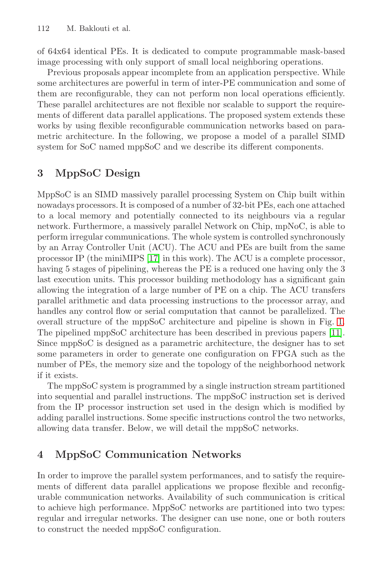of 64x64 identical PEs. It is dedicated to compute programmable mask-based image processing with only support of small local neighboring operations.

Previous proposals appear incomplete from an application perspective. While some architectures are powerful in term of inter-PE communication and some of them are reconfigurable, they can not perform non local operations efficiently. These parallel architectures are not flexible nor scalable to support the requirements of different data parallel applications. The proposed system extends these works by using flexible reconfigurable communication networks based on parametric architecture. In the following, we propose a model of a parallel SIMD system for SoC named mppSoC and we describe its different components.

## **3 MppSoC Design**

MppSoC is an SIMD massively parallel processing System on Chip built within nowadays processors. It is composed of a number of 32-bit PEs, each one attached to a local memory and potentially connected to its neighbours via a regular network. Furthermore, a massively parallel Network on Chip, mpNoC, is able to perform irregular communications. The whole system is controlled synchronously by an Array Controller Unit (ACU). The ACU and PEs are built from the same processor IP (the miniMIPS [17] in this work). The ACU is a complete processor, having 5 stages of pipelining, whereas the PE is a reduced one having only the 3 last execution units. This processor building methodology has a significant gain allowing the integration of a large number of PE on a chip. The ACU transfers parallel arithmetic and data processing instructions to the processor array, and handles any control flow or serial computation that cannot be parallelized. The overall structure of the mppSoC architecture and pipeline is shown in Fig. 1. The pipelined mppSoC architecture has been described in previous papers [11]. Since mppSoC is designed as a parametric architecture, the designer has to set some parameters in order to generate one configuration on FPGA such as the number of PEs, the memory size and the topology of the neighborhood network if it exists.

The mppSoC system is programmed by a single instruction stream partitioned into sequential and parallel instructions. The mppSoC instruction set is derived from the IP processor instruction set used in the design which is modified by adding parallel instructions. Some specific instructions control the two networks, allowing data transfer. Below, we will detail the mppSoC networks.

## **4 MppSoC Communication Networks**

In order to improve the parallel system performances, and to satisfy the requirements of different data parallel applications we propose flexible and reconfigurable communication networks. Availability of such communication is critical to achieve high performance. MppSoC networks are partitioned into two types: regular and irregular networks. The designer can use none, one or both routers to construct the needed mppSoC configuration.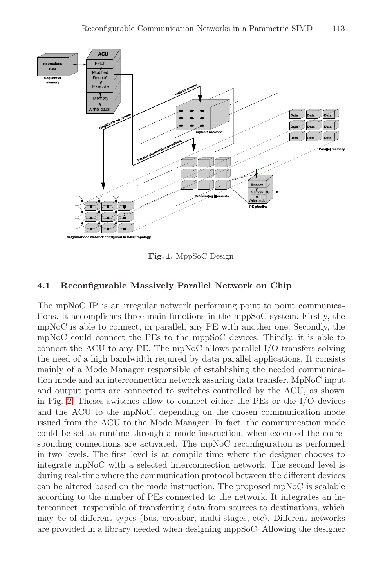

**Fig. 1.** MppSoC Design

#### **4.1 Reconfigurable Massively Parallel Network on Chip**

The mpNoC IP is an irregular network performing point to point communications. It accomplishes three main functions in the mppSoC system. Firstly, the mpNoC is able to connect, in parallel, any PE with another one. Secondly, the mpNoC could connect the PEs to the mppSoC devices. Thirdly, it is able to connect the ACU to any PE. The mpNoC allows parallel I/O transfers solving the need of a high bandwidth required by data parallel applications. It consists mainly of a Mode Manager responsible of establishing the needed communication mode and an interconnection network assuring data transfer. MpNoC input and output ports are connected to switches controlled by the ACU, as shown in Fig. 2. Theses switches allow to connect either the PEs or the I/O devices and the ACU to the mpNoC, depending on the chosen communication mode issued from the ACU to the Mode Manager. In fact, the communication mode could be set at runtime through a mode instruction, when executed the corresponding connections are activated. The mpNoC reconfiguration is performed in two levels. The first level is at compile time where the designer chooses to integrate mpNoC with a selected interconnection network. The second level is during real-time where the communication protocol between the different devices can be altered based on the mode instruction. The proposed mpNoC is scalable according to the number of PEs connected to the network. It integrates an interconnect, responsible of transferring data from sources to destinations, which may be of different types (bus, crossbar, multi-stages, etc). Different networks are provided in a library needed when designing mppSoC. Allowing the designer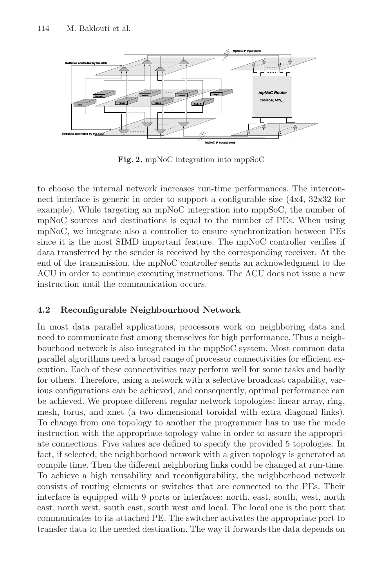

**Fig. 2.** mpNoC integration into mppSoC

to choose the internal network increases run-time performances. The interconnect interface is generic in order to support a configurable size (4x4, 32x32 for example). While targeting an mpNoC integration into mppSoC, the number of mpNoC sources and destinations is equal to the number of PEs. When using mpNoC, we integrate also a controller to ensure synchronization between PEs since it is the most SIMD important feature. The mpNoC controller verifies if data transferred by the sender is received by the corresponding receiver. At the end of the transmission, the mpNoC controller sends an acknowledgment to the ACU in order to continue executing instructions. The ACU does not issue a new instruction until the communication occurs.

#### **4.2 Reconfigurable Neighbourhood Network**

In most data parallel applications, processors work on neighboring data and need to communicate fast among themselves for high performance. Thus a neighbourhood network is also integrated in the mppSoC system. Most common data parallel algorithms need a broad range of processor connectivities for efficient execution. Each of these connectivities may perform well for some tasks and badly for others. Therefore, using a network with a selective broadcast capability, various configurations can be achieved, and consequently, optimal performance can be achieved. We propose different regular network topologies: linear array, ring, mesh, torus, and xnet (a two dimensional toroidal with extra diagonal links). To change from one topology to another the programmer has to use the mode instruction with the appropriate topology value in order to assure the appropriate connections. Five values are defined to specify the provided 5 topologies. In fact, if selected, the neighborhood network with a given topology is generated at compile time. Then the different neighboring links could be changed at run-time. To achieve a high reusability and reconfigurability, the neighborhood network consists of routing elements or switches that are connected to the PEs. Their interface is equipped with 9 ports or interfaces: north, east, south, west, north east, north west, south east, south west and local. The local one is the port that communicates to its attached PE. The switcher activates the appropriate port to transfer data to the needed destination. The way it forwards the data depends on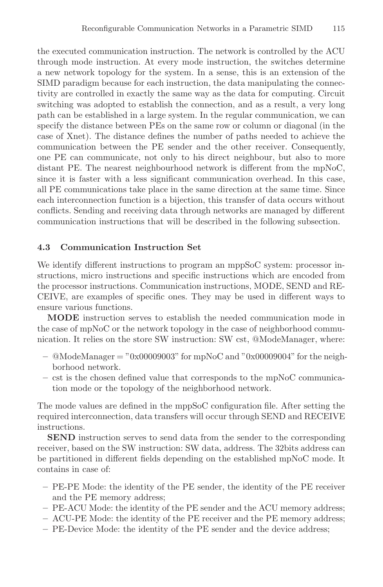the executed communication instruction. The network is controlled by the ACU through mode instruction. At every mode instruction, the switches determine a new network topology for the system. In a sense, this is an extension of the SIMD paradigm because for each instruction, the data manipulating the connectivity are controlled in exactly the same way as the data for computing. Circuit switching was adopted to establish the connection, and as a result, a very long path can be established in a large system. In the regular communication, we can specify the distance between PEs on the same row or column or diagonal (in the case of Xnet). The distance defines the number of paths needed to achieve the communication between the PE sender and the other receiver. Consequently, one PE can communicate, not only to his direct neighbour, but also to more distant PE. The nearest neighbourhood network is different from the mpNoC, since it is faster with a less significant communication overhead. In this case, all PE communications take place in the same direction at the same time. Since each interconnection function is a bijection, this transfer of data occurs without conflicts. Sending and receiving data through networks are managed by different communication instructions that will be described in the following subsection.

#### **4.3 Communication Instruction Set**

We identify different instructions to program an mppSoC system: processor instructions, micro instructions and specific instructions which are encoded from the processor instructions. Communication instructions, MODE, SEND and RE-CEIVE, are examples of specific ones. They may be used in different ways to ensure various functions.

**MODE** instruction serves to establish the needed communication mode in the case of mpNoC or the network topology in the case of neighborhood communication. It relies on the store SW instruction: SW cst, @ModeManager, where:

- **–** @ModeManager = "0x00009003" for mpNoC and "0x00009004" for the neighborhood network.
- **–** cst is the chosen defined value that corresponds to the mpNoC communication mode or the topology of the neighborhood network.

The mode values are defined in the mppSoC configuration file. After setting the required interconnection, data transfers will occur through SEND and RECEIVE instructions.

**SEND** instruction serves to send data from the sender to the corresponding receiver, based on the SW instruction: SW data, address. The 32bits address can be partitioned in different fields depending on the established mpNoC mode. It contains in case of:

- **–** PE-PE Mode: the identity of the PE sender, the identity of the PE receiver and the PE memory address;
- **–** PE-ACU Mode: the identity of the PE sender and the ACU memory address;
- **–** ACU-PE Mode: the identity of the PE receiver and the PE memory address;
- **–** PE-Device Mode: the identity of the PE sender and the device address;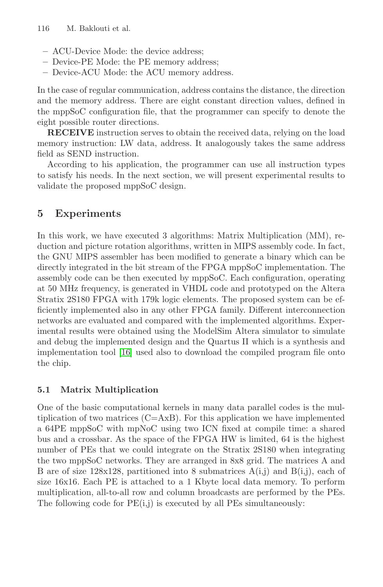- **–** ACU-Device Mode: the device address;
- **–** Device-PE Mode: the PE memory address;
- **–** Device-ACU Mode: the ACU memory address.

In the case of regular communication, address contains the distance, the direction and the memory address. There are eight constant direction values, defined in the mppSoC configuration file, that the programmer can specify to denote the eight possible router directions.

**RECEIVE** instruction serves to obtain the received data, relying on the load memory instruction: LW data, address. It analogously takes the same address field as SEND instruction.

According to his application, the programmer can use all instruction types to satisfy his needs. In the next section, we will present experimental results to validate the proposed mppSoC design.

#### **5 Experiments**

In this work, we have executed 3 algorithms: Matrix Multiplication (MM), reduction and picture rotation algorithms, written in MIPS assembly code. In fact, the GNU MIPS assembler has been modified to generate a binary which can be directly integrated in the bit stream of the FPGA mppSoC implementation. The assembly code can be then executed by mppSoC. Each configuration, operating at 50 MHz frequency, is generated in VHDL code and prototyped on the Altera Stratix 2S180 FPGA with 179k logic elements. The proposed system can be efficiently implemented also in any other FPGA family. Different interconnection networks are evaluated and compared with the implemented algorithms. Experimental results were obtained using the ModelSim Altera simulator to simulate and debug the implemented design and the Quartus II which is a synthesis and implementation tool [16] used also to download the compiled program file onto the chip.

#### **5.1 Matrix Multiplication**

One of the basic computational kernels in many data parallel codes is the multiplication of two matrices  $(C=AxB)$ . For this application we have implemented a 64PE mppSoC with mpNoC using two ICN fixed at compile time: a shared bus and a crossbar. As the space of the FPGA HW is limited, 64 is the highest number of PEs that we could integrate on the Stratix 2S180 when integrating the two mppSoC networks. They are arranged in 8x8 grid. The matrices A and B are of size 128x128, partitioned into 8 submatrices  $A(i,j)$  and  $B(i,j)$ , each of size 16x16. Each PE is attached to a 1 Kbyte local data memory. To perform multiplication, all-to-all row and column broadcasts are performed by the PEs. The following code for  $PE(i,j)$  is executed by all PEs simultaneously: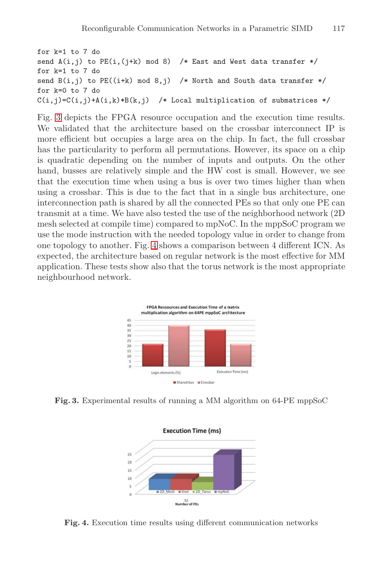for k=1 to 7 do send  $A(i,j)$  to  $PE(i,(j+k) \mod 8)$  /\* East and West data transfer \*/ for k=1 to 7 do send  $B(i,j)$  to  $PE((i+k) \mod 8, j)$  /\* North and South data transfer \*/ for k=0 to 7 do  $C(i,j)=C(i,j)+A(i,k)*B(k,j)$  /\* Local multiplication of submatrices \*/

Fig. 3 depicts the FPGA resource occupation and the execution time results. We validated that the architecture based on the crossbar interconnect IP is more efficient but occupies a large area on the chip. In fact, the full crossbar has the particularity to perform all permutations. However, its space on a chip is quadratic depending on the number of inputs and outputs. On the other hand, busses are relatively simple and the HW cost is small. However, we see that the execution time when using a bus is over two times higher than when using a crossbar. This is due to the fact that in a single bus architecture, one interconnection path is shared by all the connected PEs so that only one PE can transmit at a time. We have also tested the use of the neighborhood network (2D mesh selected at compile time) compared to mpNoC. In the mppSoC program we use the mode instruction with the needed topology value in order to change from one topology to another. Fig. 4 shows a comparison between 4 different ICN. As expected, the architecture based on regular network is the most effective for MM application. These tests show also that the torus network is the most appropriate neighbourhood network.



**Fig. 3.** Experimental results of running a MM algorithm on 64-PE mppSoC



**Fig. 4.** Execution time results using different communication networks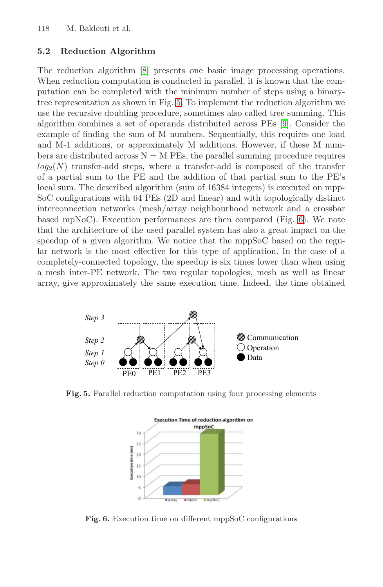#### **5.2 Reduction Algorithm**

The reduction algorithm [8] presents one basic image processing operations. When reduction computation is conducted in parallel, it is known that the computation can be completed with the minimum number of steps using a binarytree representation as shown in Fig. 5. To implement the reduction algorithm we use the recursive doubling procedure, sometimes also called tree summing. This algorithm combines a set of operands distributed across PEs [9]. Consider the example of finding the sum of M numbers. Sequentially, this requires one load and M-1 additions, or approximately M additions. However, if these M numbers are distributed across  $N = M$  PEs, the parallel summing procedure requires  $log_2(N)$  transfer-add steps, where a transfer-add is composed of the transfer of a partial sum to the PE and the addition of that partial sum to the PE's local sum. The described algorithm (sum of 16384 integers) is executed on mpp-SoC configurations with 64 PEs (2D and linear) and with topologically distinct interconnection networks (mesh/array neighbourhood network and a crossbar based mpNoC). Execution performances are then compared (Fig. 6). We note that the architecture of the used parallel system has also a great impact on the speedup of a given algorithm. We notice that the mppSoC based on the regular network is the most effective for this type of application. In the case of a completely-connected topology, the speedup is six times lower than when using a mesh inter-PE network. The two regular topologies, mesh as well as linear array, give approximately the same execution time. Indeed, the time obtained



**Fig. 5.** Parallel reduction computation using four processing elements



**Fig. 6.** Execution time on different mppSoC configurations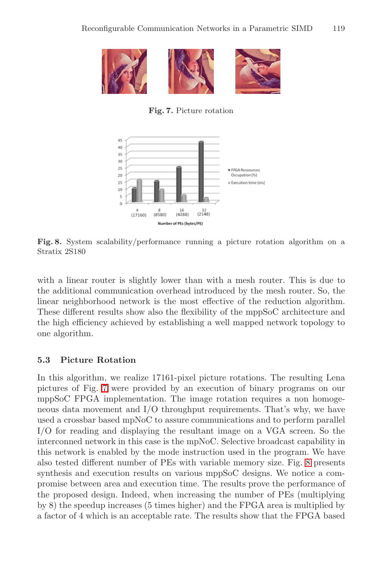

**Fig. 7.** Picture rotation



**Fig. 8.** System scalability/performance running a picture rotation algorithm on a Stratix 2S180

with a linear router is slightly lower than with a mesh router. This is due to the additional communication overhead introduced by the mesh router. So, the linear neighborhood network is the most effective of the reduction algorithm. These different results show also the flexibility of the mppSoC architecture and the high efficiency achieved by establishing a well mapped network topology to one algorithm.

#### **5.3 Picture Rotation**

In this algorithm, we realize 17161-pixel picture rotations. The resulting Lena pictures of Fig. 7 were provided by an execution of binary programs on our mppSoC FPGA implementation. The image rotation requires a non homogeneous data movement and I/O throughput requirements. That's why, we have used a crossbar based mpNoC to assure communications and to perform parallel I/O for reading and displaying the resultant image on a VGA screen. So the interconned network in this case is the mpNoC. Selective broadcast capability in this network is enabled by the mode instruction used in the program. We have also tested different number of PEs with variable memory size. Fig. 8 presents synthesis and execution results on various mppSoC designs. We notice a compromise between area and execution time. The results prove the performance of the proposed design. Indeed, when increasing the number of PEs (multiplying by 8) the speedup increases (5 times higher) and the FPGA area is multiplied by a factor of 4 which is an acceptable rate. The results show that the FPGA based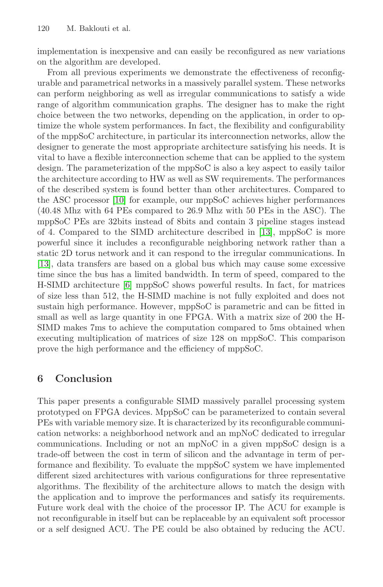implementation is inexpensive and can easily be reconfigured as new variations on the algorithm are developed.

From all previous experiments we demonstrate the effectiveness of reconfigurable and parametrical networks in a massively parallel system. These networks can perform neighboring as well as irregular communications to satisfy a wide range of algorithm communication graphs. The designer has to make the right choice between the two networks, depending on the application, in order to optimize the whole system performances. In fact, the flexibility and configurability of the mppSoC architecture, in particular its interconnection networks, allow the designer to generate the most appropriate architecture satisfying his needs. It is vital to have a flexible interconnection scheme that can be applied to the system design. The parameterization of the mppSoC is also a key aspect to easily tailor the architecture according to HW as well as SW requirements. The performances of the described system is found better than other architectures. Compared to the ASC processor [10] for example, our mppSoC achieves higher performances (40.48 Mhz with 64 PEs compared to 26.9 Mhz with 50 PEs in the ASC). The mppSoC PEs are 32bits instead of 8bits and contain 3 pipeline stages instead of 4. Compared to the SIMD architecture described in [13], mppSoC is more powerful since it includes a reconfigurable neighboring network rather than a static 2D torus network and it can respond to the irregular communications. In [13], data transfers are based on a global bus which may cause some excessive time since the bus has a limited bandwidth. In term of speed, compared to the H-SIMD architecture [6] mppSoC shows powerful results. In fact, for matrices of size less than 512, the H-SIMD machine is not fully exploited and does not sustain high performance. However, mppSoC is parametric and can be fitted in small as well as large quantity in one FPGA. With a matrix size of 200 the H-SIMD makes 7ms to achieve the computation compared to 5ms obtained when executing multiplication of matrices of size 128 on mppSoC. This comparison prove the high performance and the efficiency of mppSoC.

### **6 Conclusion**

This paper presents a configurable SIMD massively parallel processing system prototyped on FPGA devices. MppSoC can be parameterized to contain several PEs with variable memory size. It is characterized by its reconfigurable communication networks: a neighborhood network and an mpNoC dedicated to irregular communications. Including or not an mpNoC in a given mppSoC design is a trade-off between the cost in term of silicon and the advantage in term of performance and flexibility. To evaluate the mppSoC system we have implemented different sized architectures with various configurations for three representative algorithms. The flexibility of the architecture allows to match the design with the application and to improve the performances and satisfy its requirements. Future work deal with the choice of the processor IP. The ACU for example is not reconfigurable in itself but can be replaceable by an equivalent soft processor or a self designed ACU. The PE could be also obtained by reducing the ACU.